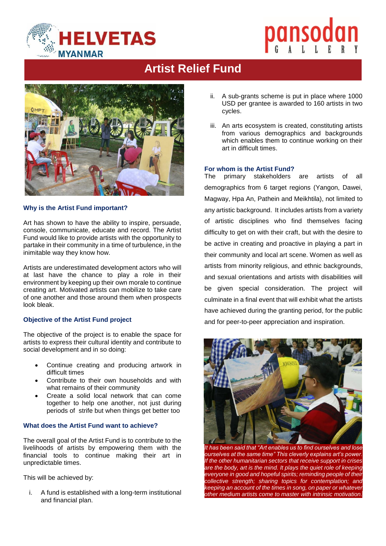

# pansodan

# **Artist Relief Fund**



# **Why is the Artist Fund important?**

Art has shown to have the ability to inspire, persuade, console, communicate, educate and record. The Artist Fund would like to provide artists with the opportunity to partake in their community in a time of turbulence, in the inimitable way they know how.

Artists are underestimated development actors who will at last have the chance to play a role in their environment by keeping up their own morale to continue creating art. Motivated artists can mobilize to take care of one another and those around them when prospects look bleak.

### **Objective of the Artist Fund project**

The objective of the project is to enable the space for artists to express their cultural identity and contribute to social development and in so doing:

- Continue creating and producing artwork in difficult times
- Contribute to their own households and with what remains of their community
- Create a solid local network that can come together to help one another, not just during periods of strife but when things get better too

# **What does the Artist Fund want to achieve?**

The overall goal of the Artist Fund is to contribute to the livelihoods of artists by empowering them with the financial tools to continue making their art in unpredictable times.

This will be achieved by:

i. A fund is established with a long-term institutional and financial plan.

- ii. A sub-grants scheme is put in place where 1000 USD per grantee is awarded to 160 artists in two cycles.
- iii. An arts ecosystem is created, constituting artists from various demographics and backgrounds which enables them to continue working on their art in difficult times.

## **For whom is the Artist Fund?**

The primary stakeholders are artists of all demographics from 6 target regions (Yangon, Dawei, Magway, Hpa An, Pathein and Meikhtila), not limited to any artistic background. It includes artists from a variety of artistic disciplines who find themselves facing difficulty to get on with their craft, but with the desire to be active in creating and proactive in playing a part in their community and local art scene. Women as well as artists from minority religious, and ethnic backgrounds, and sexual orientations and artists with disabilities will be given special consideration. The project will culminate in a final event that will exhibit what the artists have achieved during the granting period, for the public and for peer-to-peer appreciation and inspiration.



*It has been said that "Art enables us to find ourselves and lose ourselves at the same time" This cleverly explains art's power. If the other humanitarian sectors that receive support in crises are the body, art is the mind. It plays the quiet role of keeping everyone in good and hopeful spirits; reminding people of their collective strength; sharing topics for contemplation; and keeping an account of the times in song, on paper or whatever other medium artists come to master with intrinsic motivation.*